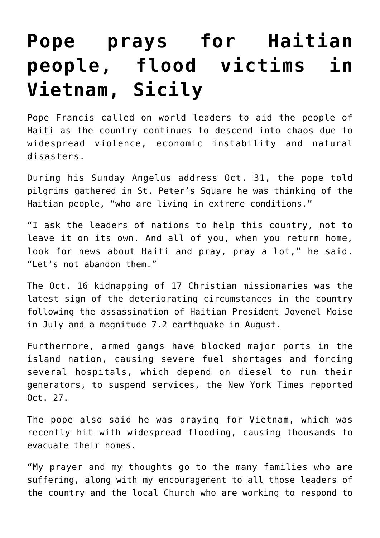## **[Pope prays for Haitian](https://www.osvnews.com/2021/11/01/pope-prays-for-haitian-people-flood-victims-in-vietnam-sicily/) [people, flood victims in](https://www.osvnews.com/2021/11/01/pope-prays-for-haitian-people-flood-victims-in-vietnam-sicily/) [Vietnam, Sicily](https://www.osvnews.com/2021/11/01/pope-prays-for-haitian-people-flood-victims-in-vietnam-sicily/)**

Pope Francis called on world leaders to aid the people of Haiti as the country continues to descend into chaos due to widespread violence, economic instability and natural disasters.

During his Sunday Angelus address Oct. 31, the pope told pilgrims gathered in St. Peter's Square he was thinking of the Haitian people, "who are living in extreme conditions."

"I ask the leaders of nations to help this country, not to leave it on its own. And all of you, when you return home, look for news about Haiti and pray, pray a lot," he said. "Let's not abandon them."

The Oct. 16 kidnapping of 17 Christian missionaries was the latest sign of the deteriorating circumstances in the country following the assassination of Haitian President Jovenel Moise in July and a magnitude 7.2 earthquake in August.

Furthermore, armed gangs have blocked major ports in the island nation, causing severe fuel shortages and forcing several hospitals, which depend on diesel to run their generators, to suspend services, the New York Times reported Oct. 27.

The pope also said he was praying for Vietnam, which was recently hit with widespread flooding, causing thousands to evacuate their homes.

"My prayer and my thoughts go to the many families who are suffering, along with my encouragement to all those leaders of the country and the local Church who are working to respond to